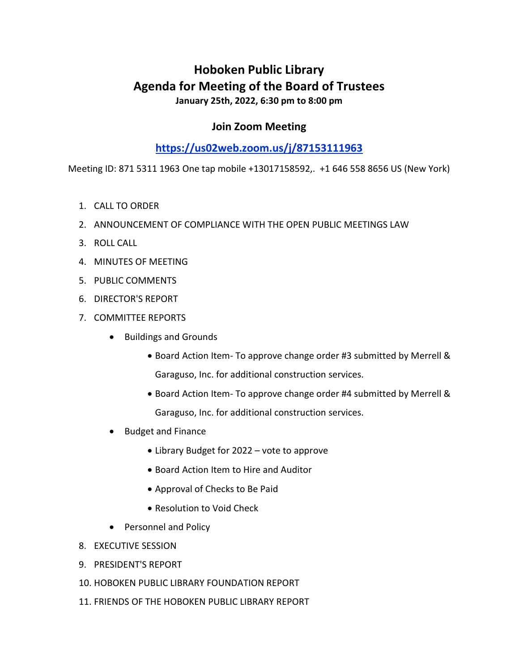# Hoboken Public Library Agenda for Meeting of the Board of Trustees January 25th, 2022, 6:30 pm to 8:00 pm

### Join Zoom Meeting

## https://us02web.zoom.us/j/87153111963

Meeting ID: 871 5311 1963 One tap mobile +13017158592,. +1 646 558 8656 US (New York)

- 1. CALL TO ORDER
- 2. ANNOUNCEMENT OF COMPLIANCE WITH THE OPEN PUBLIC MEETINGS LAW
- 3. ROLL CALL
- 4. MINUTES OF MEETING
- 5. PUBLIC COMMENTS
- 6. DIRECTOR'S REPORT
- 7. COMMITTEE REPORTS
	- Buildings and Grounds
		- Board Action Item- To approve change order #3 submitted by Merrell & Garaguso, Inc. for additional construction services.
		- Board Action Item- To approve change order #4 submitted by Merrell & Garaguso, Inc. for additional construction services.
	- Budget and Finance
		- Library Budget for 2022 vote to approve
		- Board Action Item to Hire and Auditor
		- Approval of Checks to Be Paid
		- Resolution to Void Check
	- Personnel and Policy
- 8. EXECUTIVE SESSION
- 9. PRESIDENT'S REPORT
- 10. HOBOKEN PUBLIC LIBRARY FOUNDATION REPORT
- 11. FRIENDS OF THE HOBOKEN PUBLIC LIBRARY REPORT